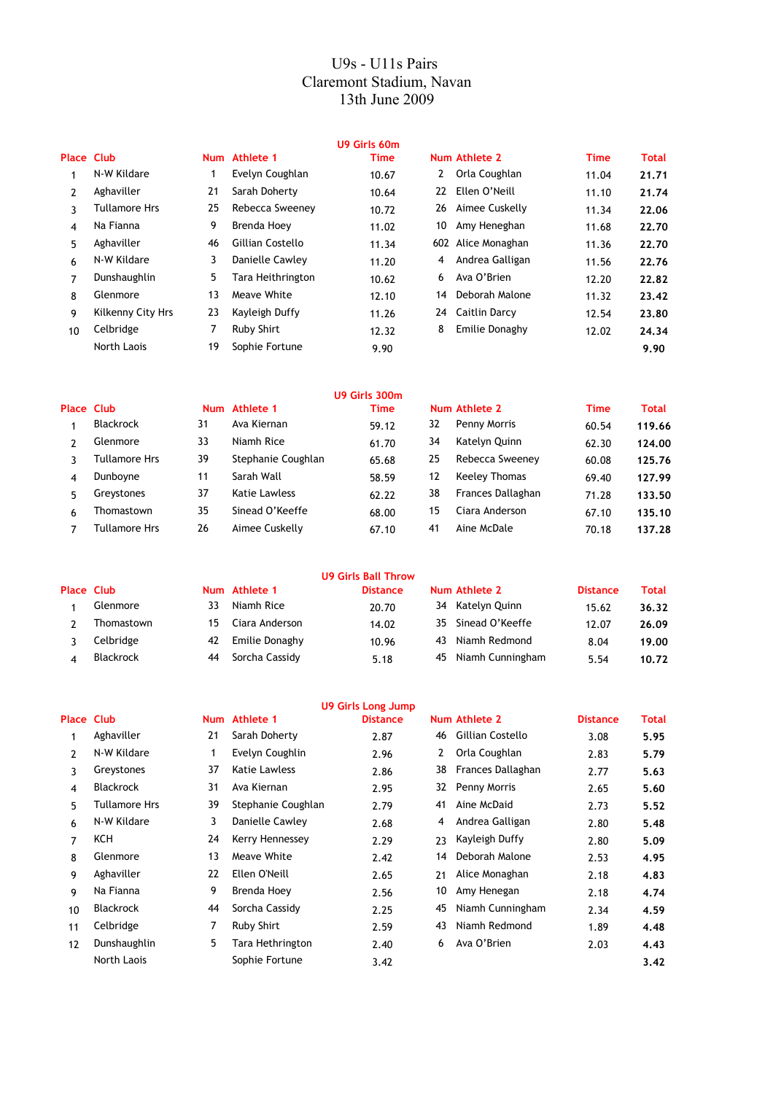## U9s - U11s Pairs Claremont Stadium, Navan 13th June 2009

|                   |                      |    |                   | U9 Girls 60m          |                    |             |              |
|-------------------|----------------------|----|-------------------|-----------------------|--------------------|-------------|--------------|
| <b>Place Club</b> |                      |    | Num Athlete 1     | <b>Time</b>           | Num Athlete 2      | <b>Time</b> | <b>Total</b> |
|                   | N-W Kildare          |    | Evelyn Coughlan   | $\mathbf{2}$<br>10.67 | Orla Coughlan      | 11.04       | 21.71        |
| $\mathcal{P}$     | Aghaviller           | 21 | Sarah Doherty     | 22<br>10.64           | Ellen O'Neill      | 11.10       | 21,74        |
| 3                 | <b>Tullamore Hrs</b> | 25 | Rebecca Sweeney   | 26<br>10.72           | Aimee Cuskelly     | 11.34       | 22.06        |
| 4                 | Na Fianna            | 9  | Brenda Hoey       | 10<br>11.02           | Amy Heneghan       | 11.68       | 22.70        |
| 5                 | Aghaviller           | 46 | Gillian Costello  | 11.34                 | 602 Alice Monaghan | 11.36       | 22.70        |
| 6                 | N-W Kildare          | 3  | Danielle Cawley   | 4<br>11.20            | Andrea Galligan    | 11.56       | 22.76        |
| 7                 | Dunshaughlin         | 5  | Tara Heithrington | 6<br>10.62            | Ava O'Brien        | 12.20       | 22.82        |
| 8                 | Glenmore             | 13 | Meave White       | 14<br>12.10           | Deborah Malone     | 11.32       | 23.42        |
| 9                 | Kilkenny City Hrs    | 23 | Kayleigh Duffy    | 24<br>11.26           | Caitlin Darcy      | 12.54       | 23.80        |
| 10                | Celbridge            | 7  | Ruby Shirt        | 8<br>12.32            | Emilie Donaghy     | 12.02       | 24.34        |
|                   | North Laois          | 19 | Sophie Fortune    | 9.90                  |                    |             | 9.90         |
|                   |                      |    |                   |                       |                    |             |              |

|            |                  |            |                    | U9 Girls 300m |                      |             |        |
|------------|------------------|------------|--------------------|---------------|----------------------|-------------|--------|
| Place Club |                  | <b>Num</b> | Athlete 1          | Time          | Num Athlete 2        | <b>Time</b> | Total  |
|            | <b>Blackrock</b> | 31         | Ava Kiernan        | 32<br>59.12   | Penny Morris         | 60.54       | 119.66 |
|            | Glenmore         | 33         | Niamh Rice         | 34<br>61.70   | Katelyn Quinn        | 62.30       | 124.00 |
| 3          | Tullamore Hrs    | 39         | Stephanie Coughlan | 25<br>65.68   | Rebecca Sweeney      | 60.08       | 125.76 |
| 4          | Dunboyne         | 11         | Sarah Wall         | 12<br>58.59   | <b>Keeley Thomas</b> | 69.40       | 127.99 |
| 5.         | Greystones       | 37         | Katie Lawless      | 38<br>62.22   | Frances Dallaghan    | 71.28       | 133.50 |
| 6          | Thomastown       | 35         | Sinead O'Keeffe    | 15<br>68.00   | Ciara Anderson       | 67.10       | 135.10 |
|            | Tullamore Hrs    | 26         | Aimee Cuskelly     | 41<br>67.10   | Aine McDale          | 70.18       | 137.28 |

|            |                  |    |                | <b>U9 Girls Ball Throw</b> |                     |                 |       |
|------------|------------------|----|----------------|----------------------------|---------------------|-----------------|-------|
| Place Club |                  |    | Num Athlete 1  | <b>Distance</b>            | Num Athlete 2       | <b>Distance</b> | Total |
|            | Glenmore         | 33 | Niamh Rice     | 34<br>20.70                | Katelyn Quinn       | 15.62           | 36.32 |
|            | Thomastown       | 15 | Ciara Anderson | 14.02                      | 35 Sinead O'Keeffe  | 12.07           | 26.09 |
|            | Celbridge        | 42 | Emilie Donaghy | 43<br>10.96                | Niamh Redmond       | 8.04            | 19.00 |
|            | <b>Blackrock</b> | 44 | Sorcha Cassidy | 5.18                       | 45 Niamh Cunningham | 5.54            | 10.72 |

|                   |                      |            |                      | U9 Girls Long Jump |    |                   |                 |              |
|-------------------|----------------------|------------|----------------------|--------------------|----|-------------------|-----------------|--------------|
| <b>Place Club</b> |                      | <b>Num</b> | Athlete 1            | <b>Distance</b>    |    | Num Athlete 2     | <b>Distance</b> | <b>Total</b> |
|                   | Aghaviller           | 21         | Sarah Doherty        | 2.87               | 46 | Gillian Costello  | 3.08            | 5.95         |
| $\mathcal{P}$     | N-W Kildare          | 1          | Evelyn Coughlin      | 2.96               | 2  | Orla Coughlan     | 2.83            | 5.79         |
| 3                 | Greystones           | 37         | <b>Katie Lawless</b> | 2.86               | 38 | Frances Dallaghan | 2.77            | 5.63         |
| 4                 | <b>Blackrock</b>     | 31         | Ava Kiernan          | 2.95               | 32 | Penny Morris      | 2.65            | 5.60         |
| 5                 | <b>Tullamore Hrs</b> | 39         | Stephanie Coughlan   | 2.79               | 41 | Aine McDaid       | 2.73            | 5.52         |
| 6                 | N-W Kildare          | 3          | Danielle Cawley      | 2.68               | 4  | Andrea Galligan   | 2.80            | 5.48         |
| 7                 | KCH                  | 24         | Kerry Hennessey      | 2.29               | 23 | Kayleigh Duffy    | 2.80            | 5.09         |
| 8                 | Glenmore             | 13         | Meave White          | 2.42               | 14 | Deborah Malone    | 2.53            | 4.95         |
| 9                 | Aghaviller           | 22         | Ellen O'Neill        | 2.65               | 21 | Alice Monaghan    | 2.18            | 4.83         |
| 9                 | Na Fianna            | 9          | Brenda Hoey          | 2.56               | 10 | Amy Henegan       | 2.18            | 4.74         |
| 10                | <b>Blackrock</b>     | 44         | Sorcha Cassidy       | 2.25               | 45 | Niamh Cunningham  | 2.34            | 4.59         |
| 11                | Celbridge            | 7          | <b>Ruby Shirt</b>    | 2.59               | 43 | Niamh Redmond     | 1.89            | 4.48         |
| 12                | Dunshaughlin         | 5          | Tara Hethrington     | 2.40               | 6  | Ava O'Brien       | 2.03            | 4.43         |
|                   | North Laois          |            | Sophie Fortune       | 3.42               |    |                   |                 | 3.42         |
|                   |                      |            |                      |                    |    |                   |                 |              |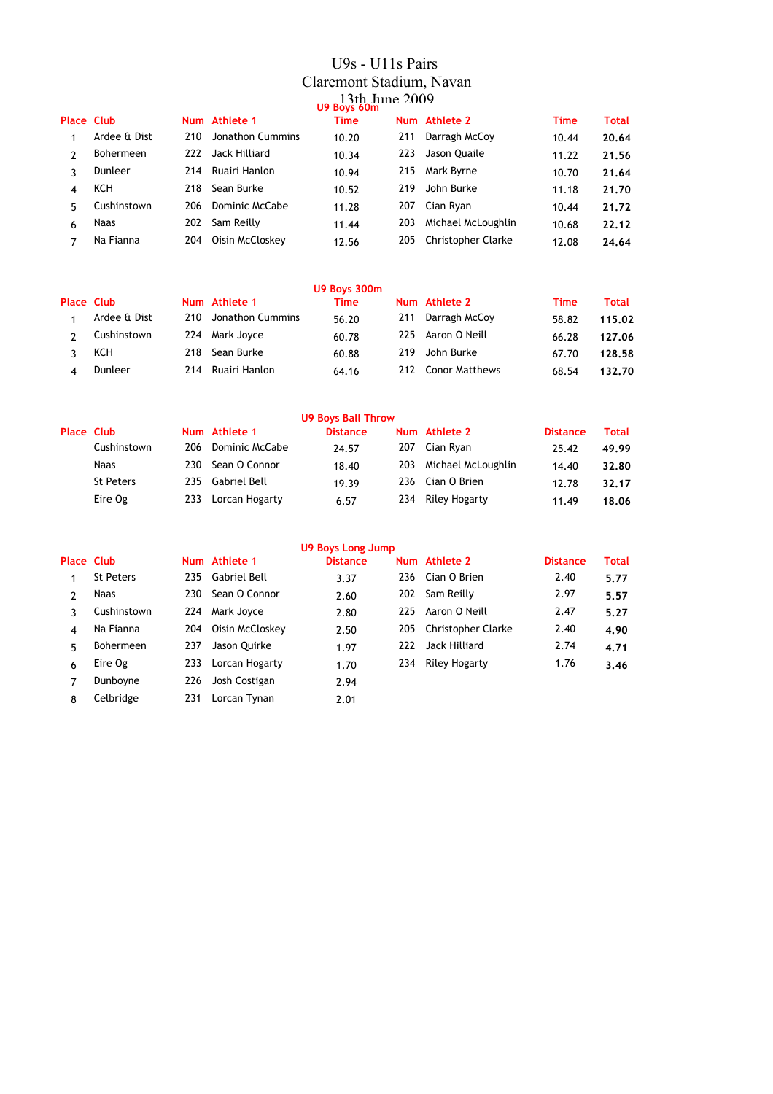# U9s - U11s Pairs Claremont Stadium, Navan 13th June 2009 **U9 Boys 60m**

|                   |              |     |                   | - - - - - - - - - |     |                        |             |       |
|-------------------|--------------|-----|-------------------|-------------------|-----|------------------------|-------------|-------|
| <b>Place Club</b> |              |     | Num Athlete 1     | <b>Time</b>       |     | Num Athlete 2          | <b>Time</b> | Total |
|                   | Ardee & Dist | 210 | Jonathon Cummins  | 10.20             | 211 | Darragh McCoy          | 10.44       | 20.64 |
| 2                 | Bohermeen    |     | 222 Jack Hilliard | 10.34             | 223 | Jason Quaile           | 11.22       | 21.56 |
| ર                 | Dunleer      |     | 214 Ruairi Hanlon | 10.94             | 215 | Mark Byrne             | 10.70       | 21.64 |
| 4                 | KCH          | 218 | Sean Burke        | 10.52             | 219 | John Burke             | 11.18       | 21.70 |
| 5                 | Cushinstown  | 206 | Dominic McCabe    | 11.28             | 207 | Cian Ryan              | 10.44       | 21.72 |
| 6                 | Naas         | 202 | Sam Reilly        | 11.44             | 203 | Michael McLoughlin     | 10.68       | 22.12 |
|                   | Na Fianna    | 204 | Oisin McCloskey   | 12.56             |     | 205 Christopher Clarke | 12.08       | 24.64 |
|                   |              |     |                   |                   |     |                        |             |       |

|                   |              |     |                      | U9 Boys 300m |     |                    |             |              |
|-------------------|--------------|-----|----------------------|--------------|-----|--------------------|-------------|--------------|
| <b>Place Club</b> |              |     | Num Athlete 1        | <b>Time</b>  |     | Num Athlete 2      | <b>Time</b> | <b>Total</b> |
|                   | Ardee & Dist |     | 210 Jonathon Cummins | 56.20        |     | 211 Darragh McCoy  | 58.82       | 115.02       |
|                   | Cushinstown  |     | 224 Mark Joyce       | 60.78        |     | 225 Aaron O Neill  | 66.28       | 127.06       |
|                   | KCH          | 218 | Sean Burke           | 60.88        | 219 | John Burke         | 67.70       | 128.58       |
|                   | Dunleer      | 214 | Ruairi Hanlon        | 64.16        |     | 212 Conor Matthews | 68.54       | 132.70       |

|                   |      |                       | <b>U9 Boys Ball Throw</b> |                    |                 |       |
|-------------------|------|-----------------------|---------------------------|--------------------|-----------------|-------|
| <b>Place Club</b> |      | Num Athlete 1         | <b>Distance</b>           | Num Athlete 2      | <b>Distance</b> | Total |
| Cushinstown       | 206  | <b>Dominic McCabe</b> | 207<br>24.57              | Cian Ryan          | 25.42           | 49.99 |
| Naas              | 230  | Sean O Connor         | 203<br>18.40              | Michael McLoughlin | 14.40           | 32.80 |
| St Peters         | 235. | Gabriel Bell          | 19.39                     | 236 Cian O Brien   | 12.78           | 32.17 |
| Eire Og           |      | 233 Lorcan Hogarty    | 6.57                      | 234 Riley Hogarty  | 11.49           | 18.06 |

|                   | U9 Boys Long Jump |     |                  |                 |      |                    |                 |              |  |  |
|-------------------|-------------------|-----|------------------|-----------------|------|--------------------|-----------------|--------------|--|--|
| <b>Place Club</b> |                   |     | Num Athlete 1    | <b>Distance</b> |      | Num Athlete 2      | <b>Distance</b> | <b>Total</b> |  |  |
|                   | <b>St Peters</b>  |     | 235 Gabriel Bell | 3.37            |      | 236 Cian O Brien   | 2.40            | 5.77         |  |  |
| 2                 | <b>Naas</b>       | 230 | Sean O Connor    | 2.60            | 202  | Sam Reilly         | 2.97            | 5.57         |  |  |
| ٦                 | Cushinstown       | 224 | Mark Joyce       | 2.80            | 225. | Aaron O Neill      | 2.47            | 5.27         |  |  |
| 4                 | Na Fianna         | 204 | Oisin McCloskev  | 2.50            | 205  | Christopher Clarke | 2.40            | 4.90         |  |  |
| 5.                | <b>Bohermeen</b>  | 237 | Jason Quirke     | 1.97            | 222. | Jack Hilliard      | 2.74            | 4.71         |  |  |
| 6                 | Eire Og           | 233 | Lorcan Hogarty   | 1.70            | 234  | Riley Hogarty      | 1.76            | 3.46         |  |  |
| 7                 | Dunboyne          | 226 | Josh Costigan    | 2.94            |      |                    |                 |              |  |  |
| 8                 | Celbridge         | 231 | Lorcan Tynan     | 2.01            |      |                    |                 |              |  |  |
|                   |                   |     |                  |                 |      |                    |                 |              |  |  |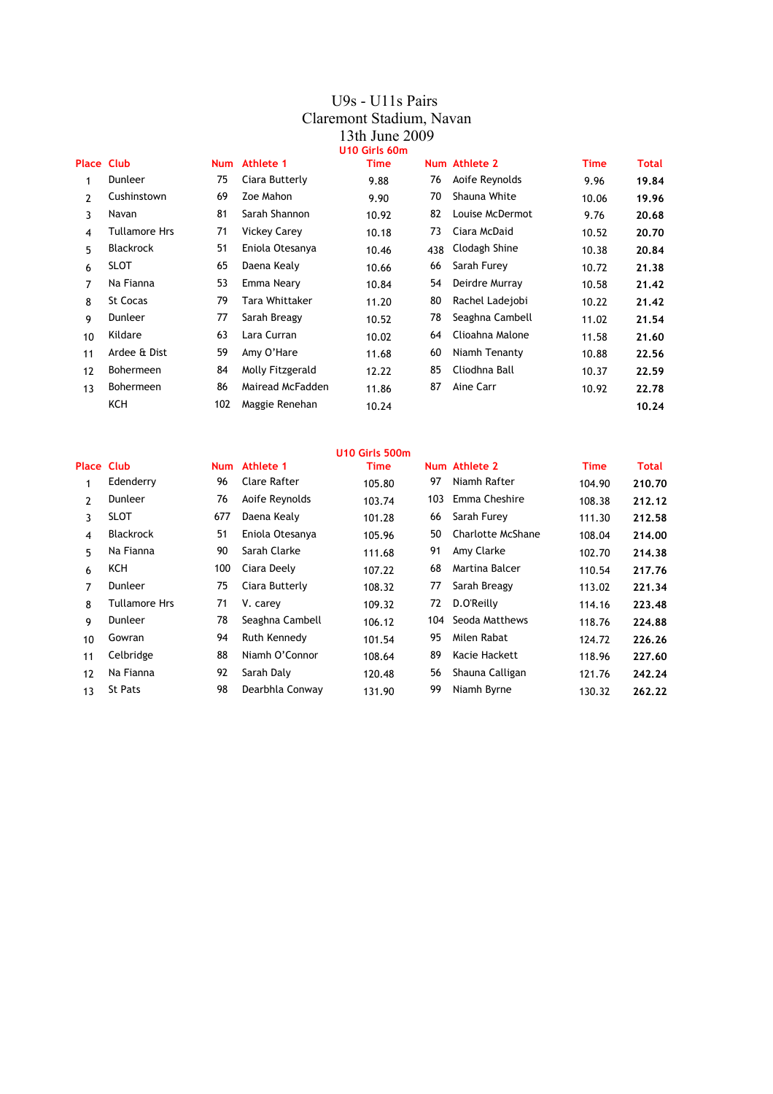#### U9s - U11s Pairs Claremont Stadium, Navan 13th June 2009 **U10 Girls 60m**

| <b>Place Club</b> |                  | <b>Num</b> | Athlete 1           | <b>Time</b> |     | Num Athlete 2   | <b>Time</b> | Total |
|-------------------|------------------|------------|---------------------|-------------|-----|-----------------|-------------|-------|
| 1                 | Dunleer          | 75         | Ciara Butterly      | 9.88        | 76  | Aoife Reynolds  | 9.96        | 19.84 |
| $\overline{2}$    | Cushinstown      | 69         | Zoe Mahon           | 9.90        | 70  | Shauna White    | 10.06       | 19.96 |
| 3                 | Navan            | 81         | Sarah Shannon       | 10.92       | 82  | Louise McDermot | 9.76        | 20.68 |
| 4                 | Tullamore Hrs    | 71         | <b>Vickey Carey</b> | 10.18       | 73  | Ciara McDaid    | 10.52       | 20,70 |
| 5                 | <b>Blackrock</b> | 51         | Eniola Otesanya     | 10.46       | 438 | Clodagh Shine   | 10.38       | 20.84 |
| 6                 | <b>SLOT</b>      | 65         | Daena Kealy         | 10.66       | 66  | Sarah Furey     | 10.72       | 21,38 |
| 7                 | Na Fianna        | 53         | Emma Neary          | 10.84       | 54  | Deirdre Murray  | 10.58       | 21.42 |
| 8                 | <b>St Cocas</b>  | 79         | Tara Whittaker      | 11.20       | 80  | Rachel Ladejobi | 10.22       | 21.42 |
| 9                 | Dunleer          | 77         | Sarah Breagy        | 10.52       | 78  | Seaghna Cambell | 11.02       | 21.54 |
| 10                | Kildare          | 63         | Lara Curran         | 10.02       | 64  | Clioahna Malone | 11.58       | 21.60 |
| 11                | Ardee & Dist     | 59         | Amy O'Hare          | 11.68       | 60  | Niamh Tenanty   | 10.88       | 22.56 |
| 12                | <b>Bohermeen</b> | 84         | Molly Fitzgerald    | 12.22       | 85  | Cliodhna Ball   | 10.37       | 22.59 |
| 13                | <b>Bohermeen</b> | 86         | Mairead McFadden    | 11.86       | 87  | Aine Carr       | 10.92       | 22.78 |
|                   | KCH              | 102        | Maggie Renehan      | 10.24       |     |                 |             | 10.24 |

|                   |                  |     |                 | U10 Girls 500m |     |                   |             |        |
|-------------------|------------------|-----|-----------------|----------------|-----|-------------------|-------------|--------|
| <b>Place Club</b> |                  |     | Num Athlete 1   | Time           |     | Num Athlete 2     | <b>Time</b> | Total  |
| 1                 | Edenderry        | 96  | Clare Rafter    | 105.80         | 97  | Niamh Rafter      | 104.90      | 210.70 |
| 2                 | Dunleer          | 76  | Aoife Reynolds  | 103.74         | 103 | Emma Cheshire     | 108.38      | 212.12 |
| 3                 | <b>SLOT</b>      | 677 | Daena Kealy     | 101.28         | 66  | Sarah Furey       | 111.30      | 212.58 |
| 4                 | <b>Blackrock</b> | 51  | Eniola Otesanya | 105.96         | 50  | Charlotte McShane | 108.04      | 214.00 |
| 5                 | Na Fianna        | 90  | Sarah Clarke    | 111.68         | 91  | Amy Clarke        | 102.70      | 214.38 |
| 6                 | ксн              | 100 | Ciara Deely     | 107.22         | 68  | Martina Balcer    | 110.54      | 217.76 |
| 7                 | Dunleer          | 75  | Ciara Butterly  | 108.32         | 77  | Sarah Breagy      | 113.02      | 221.34 |
| 8                 | Tullamore Hrs    | 71  | V. carey        | 109.32         | 72  | D.O'Reilly        | 114.16      | 223.48 |
| 9                 | Dunleer          | 78  | Seaghna Cambell | 106.12         | 104 | Seoda Matthews    | 118.76      | 224.88 |
| 10                | Gowran           | 94  | Ruth Kennedy    | 101.54         | 95  | Milen Rabat       | 124.72      | 226.26 |
| 11                | Celbridge        | 88  | Niamh O'Connor  | 108.64         | 89  | Kacie Hackett     | 118.96      | 227.60 |
| 12                | Na Fianna        | 92  | Sarah Daly      | 120.48         | 56  | Shauna Calligan   | 121.76      | 242.24 |
| 13                | <b>St Pats</b>   | 98  | Dearbhla Conway | 131.90         | 99  | Niamh Byrne       | 130.32      | 262.22 |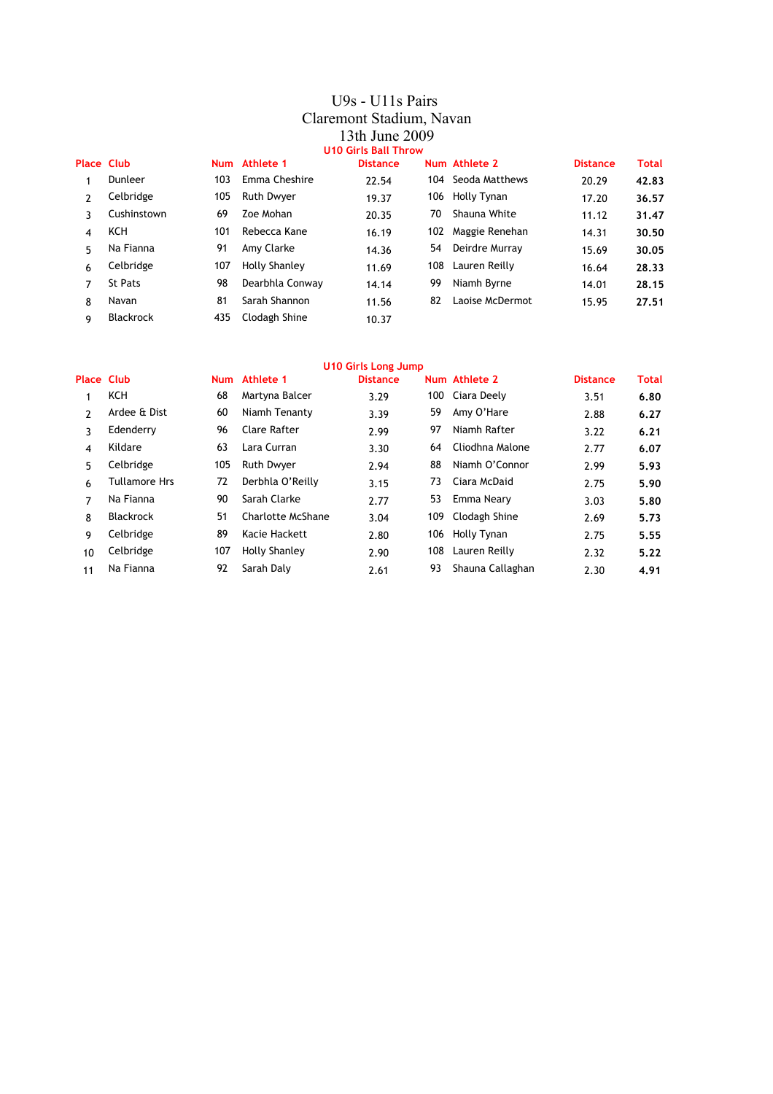### U9s - U11s Pairs Claremont Stadium, Navan 13th June 2009 **U10 Girls Ball Throw**

| <b>Place Club</b> |                  |     | Num Athlete 1     | <b>Distance</b> |     | Num Athlete 2      | <b>Distance</b> | Total |
|-------------------|------------------|-----|-------------------|-----------------|-----|--------------------|-----------------|-------|
|                   | Dunleer          | 103 | Emma Cheshire     | 22.54           |     | 104 Seoda Matthews | 20.29           | 42.83 |
| $\mathcal{P}$     | Celbridge        | 105 | <b>Ruth Dwyer</b> | 19.37           |     | 106 Holly Tynan    | 17.20           | 36.57 |
| ٦                 | Cushinstown      | 69  | Zoe Mohan         | 20.35           | 70  | Shauna White       | 11.12           | 31.47 |
| $\overline{4}$    | KCH              | 101 | Rebecca Kane      | 16.19           | 102 | Maggie Renehan     | 14.31           | 30.50 |
| 5.                | Na Fianna        | 91  | Amy Clarke        | 14.36           | 54  | Deirdre Murray     | 15.69           | 30.05 |
| 6                 | Celbridge        | 107 | Holly Shanley     | 11.69           | 108 | Lauren Reilly      | 16.64           | 28.33 |
| 7                 | <b>St Pats</b>   | 98  | Dearbhla Conway   | 14.14           | 99  | Niamh Byrne        | 14.01           | 28.15 |
| 8                 | Navan            | 81  | Sarah Shannon     | 11.56           | 82  | Laoise McDermot    | 15.95           | 27.51 |
| 9                 | <b>Blackrock</b> | 435 | Clodagh Shine     | 10.37           |     |                    |                 |       |

|                   | <b>U10 Girls Long Jump</b> |     |                   |                 |     |                  |                 |       |  |  |
|-------------------|----------------------------|-----|-------------------|-----------------|-----|------------------|-----------------|-------|--|--|
| <b>Place Club</b> |                            |     | Num Athlete 1     | <b>Distance</b> |     | Num Athlete 2    | <b>Distance</b> | Total |  |  |
| 1                 | KCH                        | 68  | Martyna Balcer    | 3.29            |     | 100 Ciara Deely  | 3.51            | 6.80  |  |  |
| 2                 | Ardee & Dist               | 60  | Niamh Tenanty     | 3.39            | 59  | Amy O'Hare       | 2.88            | 6.27  |  |  |
| 3                 | Edenderry                  | 96  | Clare Rafter      | 2.99            | 97  | Niamh Rafter     | 3.22            | 6.21  |  |  |
| 4                 | Kildare                    | 63  | Lara Curran       | 3.30            | 64  | Cliodhna Malone  | 2.77            | 6.07  |  |  |
| 5                 | Celbridge                  | 105 | <b>Ruth Dwyer</b> | 2.94            | 88  | Niamh O'Connor   | 2.99            | 5.93  |  |  |
| 6                 | <b>Tullamore Hrs</b>       | 72  | Derbhla O'Reilly  | 3.15            | 73  | Ciara McDaid     | 2.75            | 5.90  |  |  |
| 7                 | Na Fianna                  | 90  | Sarah Clarke      | 2.77            | 53  | Emma Neary       | 3.03            | 5.80  |  |  |
| 8                 | <b>Blackrock</b>           | 51  | Charlotte McShane | 3.04            | 109 | Clodagh Shine    | 2.69            | 5.73  |  |  |
| 9                 | Celbridge                  | 89  | Kacie Hackett     | 2.80            | 106 | Holly Tynan      | 2.75            | 5.55  |  |  |
| 10                | Celbridge                  | 107 | Holly Shanley     | 2.90            | 108 | Lauren Reilly    | 2.32            | 5.22  |  |  |
| 11                | Na Fianna                  | 92  | Sarah Daly        | 2.61            | 93  | Shauna Callaghan | 2.30            | 4.91  |  |  |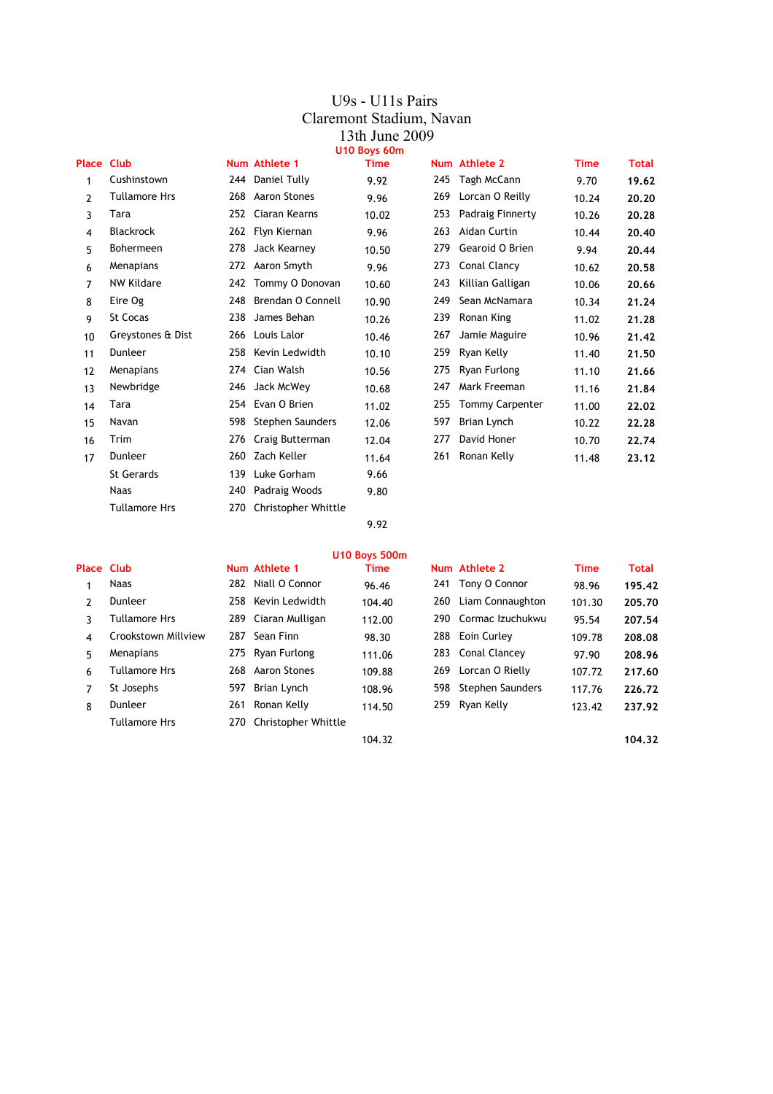#### U9s - U11s Pairs Claremont Stadium, Navan 13th June 2009 **U10 Boys 60m**

| <b>Place Club</b> |                      |     | Num Athlete 1       | Time  |     | Num Athlete 2          | <b>Time</b> | Total |
|-------------------|----------------------|-----|---------------------|-------|-----|------------------------|-------------|-------|
| 1                 | Cushinstown          |     | 244 Daniel Tully    | 9.92  | 245 | Tagh McCann            | 9.70        | 19.62 |
| $\overline{2}$    | Tullamore Hrs        | 268 | Aaron Stones        | 9.96  | 269 | Lorcan O Reilly        | 10.24       | 20.20 |
| 3                 | Tara                 | 252 | Ciaran Kearns       | 10.02 | 253 | Padraig Finnerty       | 10.26       | 20.28 |
| 4                 | <b>Blackrock</b>     |     | 262 Flyn Kiernan    | 9.96  | 263 | Aidan Curtin           | 10.44       | 20,40 |
| 5                 | Bohermeen            | 278 | Jack Kearney        | 10.50 | 279 | Gearoid O Brien        | 9.94        | 20.44 |
| 6                 | Menapians            | 272 | Aaron Smyth         | 9.96  | 273 | Conal Clancy           | 10.62       | 20.58 |
| 7                 | <b>NW Kildare</b>    | 242 | Tommy O Donovan     | 10.60 | 243 | Killian Galligan       | 10.06       | 20.66 |
| 8                 | Eire Og              | 248 | Brendan O Connell   | 10.90 | 249 | Sean McNamara          | 10.34       | 21.24 |
| 9                 | <b>St Cocas</b>      | 238 | James Behan         | 10.26 | 239 | Ronan King             | 11.02       | 21.28 |
| 10                | Greystones & Dist    |     | 266 Louis Lalor     | 10.46 | 267 | Jamie Maguire          | 10.96       | 21.42 |
| 11                | Dunleer              |     | 258 Kevin Ledwidth  | 10.10 | 259 | Ryan Kelly             | 11.40       | 21.50 |
| 12                | Menapians            | 274 | Cian Walsh          | 10.56 | 275 | Ryan Furlong           | 11.10       | 21.66 |
| 13                | Newbridge            | 246 | Jack McWey          | 10.68 | 247 | Mark Freeman           | 11.16       | 21.84 |
| 14                | Tara                 | 254 | Evan O Brien        | 11.02 | 255 | <b>Tommy Carpenter</b> | 11.00       | 22.02 |
| 15                | Navan                | 598 | Stephen Saunders    | 12.06 | 597 | Brian Lynch            | 10.22       | 22.28 |
| 16                | Trim                 | 276 | Craig Butterman     | 12.04 | 277 | David Honer            | 10.70       | 22.74 |
| 17                | Dunleer              | 260 | Zach Keller         | 11.64 | 261 | Ronan Kelly            | 11.48       | 23.12 |
|                   | <b>St Gerards</b>    | 139 | Luke Gorham         | 9.66  |     |                        |             |       |
|                   | <b>Naas</b>          | 240 | Padraig Woods       | 9.80  |     |                        |             |       |
|                   | <b>Tullamore Hrs</b> | 270 | Christopher Whittle |       |     |                        |             |       |

9.92

|                |                      |     |                         | <b>U10 Boys 500m</b> |     |                      |             |        |
|----------------|----------------------|-----|-------------------------|----------------------|-----|----------------------|-------------|--------|
| Place Club     |                      |     | Num Athlete 1           | <b>Time</b>          |     | Num Athlete 2        | <b>Time</b> | Total  |
| 1              | <b>Naas</b>          |     | 282 Niall O Connor      | 96.46                |     | 241 Tony O Connor    | 98.96       | 195.42 |
| $\mathcal{P}$  | Dunleer              |     | 258 Kevin Ledwidth      | 104.40               | 260 | Liam Connaughton     | 101.30      | 205.70 |
| 3              | <b>Tullamore Hrs</b> |     | 289 Ciaran Mulligan     | 112.00               |     | 290 Cormac Izuchukwu | 95.54       | 207.54 |
| 4              | Crookstown Millview  | 287 | Sean Finn               | 98.30                |     | 288 Eoin Curley      | 109.78      | 208.08 |
| 5              | Menapians            |     | 275 Ryan Furlong        | 111.06               |     | 283 Conal Clancey    | 97.90       | 208.96 |
| 6              | <b>Tullamore Hrs</b> |     | 268 Aaron Stones        | 109.88               | 269 | Lorcan O Rielly      | 107.72      | 217.60 |
| $\overline{7}$ | St Josephs           |     | 597 Brian Lynch         | 108.96               | 598 | Stephen Saunders     | 117.76      | 226.72 |
| 8              | Dunleer              | 261 | Ronan Kelly             | 114.50               |     | 259 Ryan Kelly       | 123.42      | 237.92 |
|                | <b>Tullamore Hrs</b> |     | 270 Christopher Whittle |                      |     |                      |             |        |
|                |                      |     |                         | 104.32               |     |                      |             | 104.32 |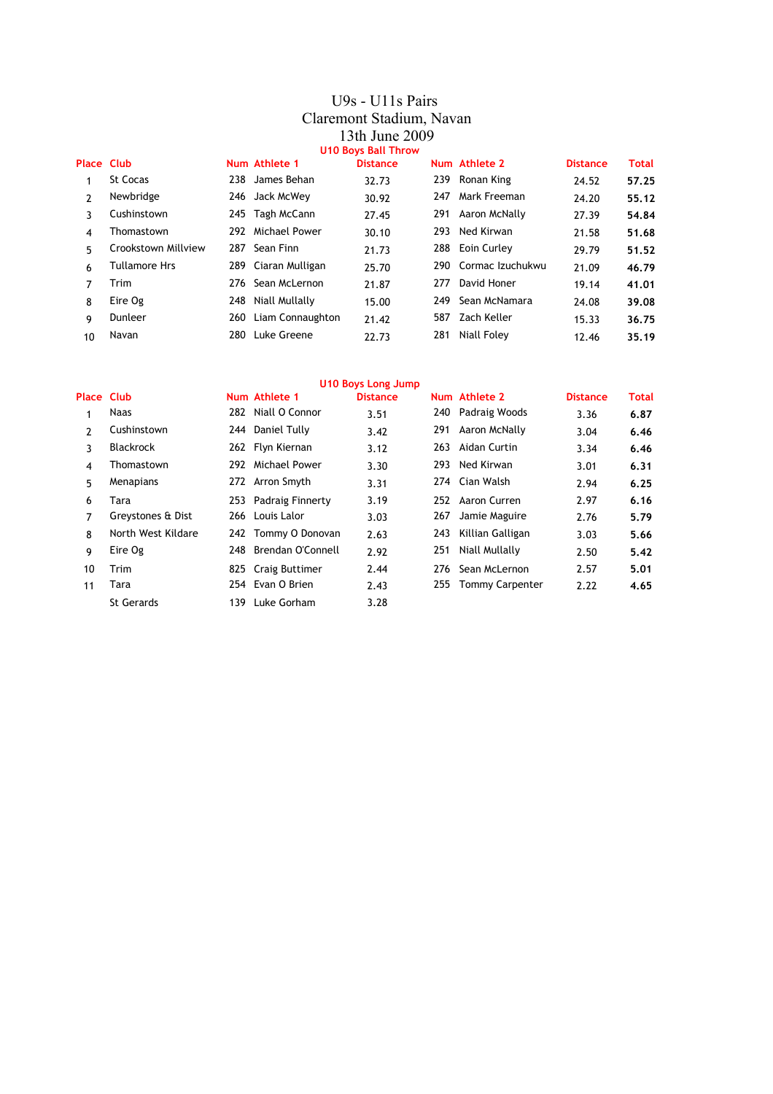#### U9s - U11s Pairs Claremont Stadium, Navan 13th June 2009 **U10 Boys Ball Throw**

| Place Club    |                      |     | Num Athlete 1        | <b>Distance</b> |     | Num Athlete 2        | <b>Distance</b> | <b>Total</b> |
|---------------|----------------------|-----|----------------------|-----------------|-----|----------------------|-----------------|--------------|
|               | <b>St Cocas</b>      |     | 238 James Behan      | 32.73           |     | 239 Ronan King       | 24.52           | 57.25        |
| $\mathcal{P}$ | Newbridge            |     | 246 Jack McWey       | 30.92           | 247 | Mark Freeman         | 24.20           | 55.12        |
| 3             | Cushinstown          |     | 245 Tagh McCann      | 27.45           |     | 291 Aaron McNally    | 27.39           | 54.84        |
| 4             | Thomastown           |     | 292 Michael Power    | 30.10           |     | 293 Ned Kirwan       | 21.58           | 51.68        |
| 5             | Crookstown Millview  |     | 287 Sean Finn        | 21.73           |     | 288 Eoin Curley      | 29.79           | 51.52        |
| 6             | <b>Tullamore Hrs</b> |     | 289 Ciaran Mulligan  | 25.70           |     | 290 Cormac Izuchukwu | 21.09           | 46.79        |
| 7             | Trim                 |     | 276 Sean McLernon    | 21.87           | 277 | David Honer          | 19.14           | 41.01        |
| 8             | Eire Og              |     | 248 Niall Mullally   | 15.00           | 249 | Sean McNamara        | 24.08           | 39.08        |
| 9             | Dunleer              |     | 260 Liam Connaughton | 21.42           | 587 | Zach Keller          | 15.33           | 36.75        |
| 10            | Navan                | 280 | Luke Greene          | 22.73           | 281 | Niall Foley          | 12.46           | 35.19        |

|                   |                    |      |                      | <b>U10 Boys Long Jump</b> |     |                        |                 |              |
|-------------------|--------------------|------|----------------------|---------------------------|-----|------------------------|-----------------|--------------|
| <b>Place Club</b> |                    |      | Num Athlete 1        | <b>Distance</b>           |     | Num Athlete 2          | <b>Distance</b> | <b>Total</b> |
| 1                 | Naas               |      | 282 Niall O Connor   | 3.51                      |     | 240 Padraig Woods      | 3.36            | 6.87         |
| 2                 | Cushinstown        | 244  | Daniel Tully         | 3.42                      | 291 | Aaron McNally          | 3.04            | 6.46         |
| 3                 | <b>Blackrock</b>   |      | 262 Flyn Kiernan     | 3.12                      | 263 | Aidan Curtin           | 3.34            | 6.46         |
| 4                 | Thomastown         | 292  | Michael Power        | 3.30                      |     | 293 Ned Kirwan         | 3.01            | 6.31         |
| 5                 | Menapians          |      | 272 Arron Smyth      | 3.31                      |     | 274 Cian Walsh         | 2.94            | 6.25         |
| 6                 | Tara               |      | 253 Padraig Finnerty | 3.19                      |     | 252 Aaron Curren       | 2.97            | 6.16         |
| 7                 | Greystones & Dist  |      | 266 Louis Lalor      | 3.03                      | 267 | Jamie Maguire          | 2.76            | 5.79         |
| 8                 | North West Kildare |      | 242 Tommy O Donovan  | 2.63                      | 243 | Killian Galligan       | 3.03            | 5.66         |
| 9                 | Eire Og            | 248  | Brendan O'Connell    | 2.92                      | 251 | Niall Mullally         | 2.50            | 5.42         |
| 10                | Trim               |      | 825 Craig Buttimer   | 2.44                      | 276 | Sean McLernon          | 2.57            | 5.01         |
| 11                | Tara               |      | 254 Evan O Brien     | 2.43                      | 255 | <b>Tommy Carpenter</b> | 2.22            | 4.65         |
|                   | <b>St Gerards</b>  | 139. | Luke Gorham          | 3.28                      |     |                        |                 |              |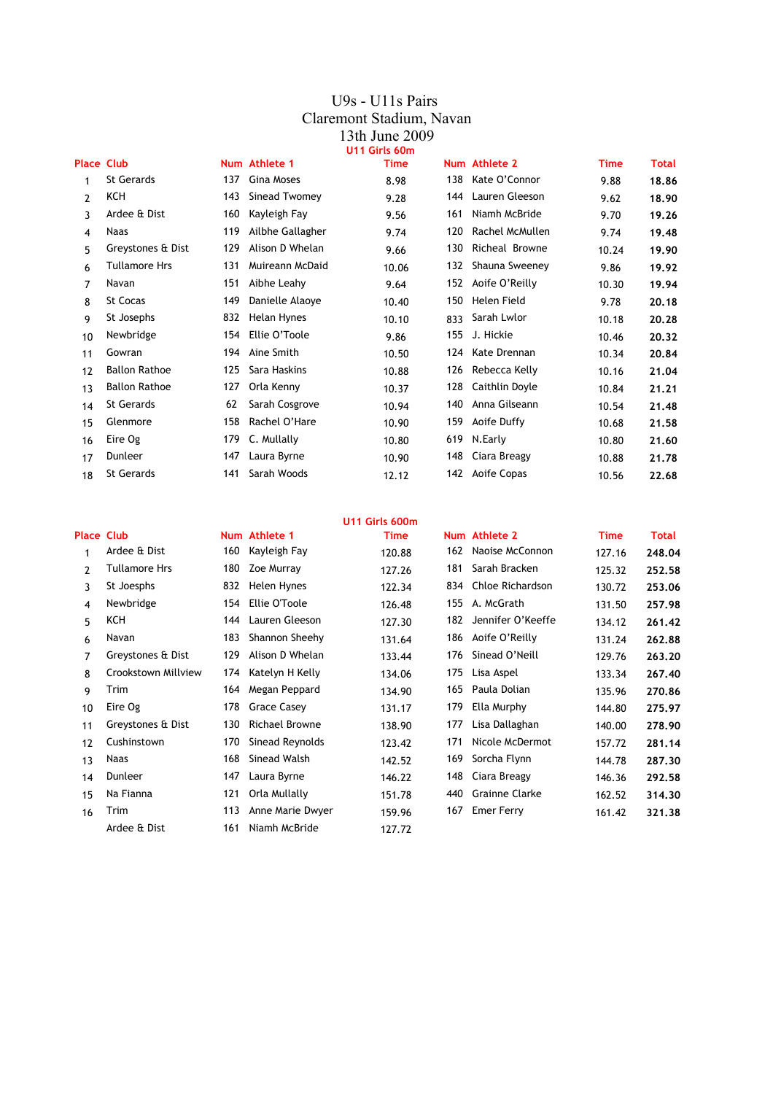#### U9s - U11s Pairs Claremont Stadium, Navan 13th June 2009 **U11 Girls 60m**

| <b>Place Club</b> |                      |     | Num Athlete 1    | <b>Time</b> |     | Num Athlete 2      | Time  | <b>Total</b> |
|-------------------|----------------------|-----|------------------|-------------|-----|--------------------|-------|--------------|
| 1                 | <b>St Gerards</b>    | 137 | Gina Moses       | 8.98        | 138 | Kate O'Connor      | 9.88  | 18.86        |
| 2                 | KCH                  | 143 | Sinead Twomey    | 9.28        | 144 | Lauren Gleeson     | 9.62  | 18.90        |
| 3                 | Ardee & Dist         | 160 | Kayleigh Fay     | 9.56        | 161 | Niamh McBride      | 9.70  | 19.26        |
| 4                 | <b>Naas</b>          | 119 | Ailbhe Gallagher | 9.74        | 120 | Rachel McMullen    | 9.74  | 19.48        |
| 5                 | Greystones & Dist    | 129 | Alison D Whelan  | 9.66        | 130 | Richeal Browne     | 10.24 | 19.90        |
| 6                 | <b>Tullamore Hrs</b> | 131 | Muireann McDaid  | 10.06       | 132 | Shauna Sweeney     | 9.86  | 19.92        |
| 7                 | Navan                | 151 | Aibhe Leahy      | 9.64        |     | 152 Aoife O'Reilly | 10.30 | 19.94        |
| 8                 | St Cocas             | 149 | Danielle Alaoye  | 10.40       | 150 | Helen Field        | 9.78  | 20.18        |
| 9                 | St Josephs           | 832 | Helan Hynes      | 10.10       | 833 | Sarah Lwlor        | 10.18 | 20.28        |
| 10                | Newbridge            | 154 | Ellie O'Toole    | 9.86        | 155 | J. Hickie          | 10.46 | 20.32        |
| 11                | Gowran               | 194 | Aine Smith       | 10.50       | 124 | Kate Drennan       | 10.34 | 20.84        |
| 12                | <b>Ballon Rathoe</b> | 125 | Sara Haskins     | 10.88       | 126 | Rebecca Kelly      | 10.16 | 21.04        |
| 13                | <b>Ballon Rathoe</b> | 127 | Orla Kenny       | 10.37       | 128 | Caithlin Doyle     | 10.84 | 21.21        |
| 14                | <b>St Gerards</b>    | 62  | Sarah Cosgrove   | 10.94       | 140 | Anna Gilseann      | 10.54 | 21.48        |
| 15                | Glenmore             | 158 | Rachel O'Hare    | 10.90       | 159 | Aoife Duffy        | 10.68 | 21.58        |
| 16                | Eire Og              | 179 | C. Mullally      | 10.80       | 619 | N.Early            | 10.80 | 21.60        |
| 17                | Dunleer              | 147 | Laura Byrne      | 10.90       | 148 | Ciara Breagy       | 10.88 | 21.78        |
| 18                | St Gerards           | 141 | Sarah Woods      | 12.12       | 142 | Aoife Copas        | 10.56 | 22.68        |
|                   |                      |     |                  |             |     |                    |       |              |

|                   |                      |     |                       | U11 Girls 600m |     |                   |             |        |
|-------------------|----------------------|-----|-----------------------|----------------|-----|-------------------|-------------|--------|
| <b>Place Club</b> |                      |     | Num Athlete 1         | <b>Time</b>    |     | Num Athlete 2     | <b>Time</b> | Total  |
|                   | Ardee & Dist         | 160 | Kayleigh Fay          | 120.88         | 162 | Naoise McConnon   | 127.16      | 248.04 |
| $\mathbf{2}$      | <b>Tullamore Hrs</b> | 180 | Zoe Murray            | 127.26         | 181 | Sarah Bracken     | 125.32      | 252.58 |
| 3                 | St Joesphs           | 832 | Helen Hynes           | 122.34         | 834 | Chloe Richardson  | 130.72      | 253.06 |
| 4                 | Newbridge            | 154 | Ellie O'Toole         | 126.48         | 155 | A. McGrath        | 131.50      | 257.98 |
| 5                 | KCH                  | 144 | Lauren Gleeson        | 127.30         | 182 | Jennifer O'Keeffe | 134.12      | 261.42 |
| 6                 | Navan                | 183 | Shannon Sheehy        | 131.64         | 186 | Aoife O'Reilly    | 131.24      | 262.88 |
| 7                 | Greystones & Dist    | 129 | Alison D Whelan       | 133.44         | 176 | Sinead O'Neill    | 129.76      | 263.20 |
| 8                 | Crookstown Millview  | 174 | Katelyn H Kelly       | 134.06         | 175 | Lisa Aspel        | 133.34      | 267.40 |
| 9                 | Trim                 | 164 | Megan Peppard         | 134.90         | 165 | Paula Dolian      | 135.96      | 270.86 |
| 10                | Eire Og              | 178 | <b>Grace Casey</b>    | 131.17         | 179 | Ella Murphy       | 144.80      | 275.97 |
| 11                | Greystones & Dist    | 130 | <b>Richael Browne</b> | 138.90         | 177 | Lisa Dallaghan    | 140.00      | 278.90 |
| 12                | Cushinstown          | 170 | Sinead Reynolds       | 123.42         | 171 | Nicole McDermot   | 157.72      | 281.14 |
| 13                | <b>Naas</b>          | 168 | Sinead Walsh          | 142.52         | 169 | Sorcha Flynn      | 144.78      | 287.30 |
| 14                | Dunleer              | 147 | Laura Byrne           | 146.22         | 148 | Ciara Breagy      | 146.36      | 292.58 |
| 15                | Na Fianna            | 121 | Orla Mullally         | 151.78         | 440 | Grainne Clarke    | 162.52      | 314.30 |
| 16                | Trim                 | 113 | Anne Marie Dwyer      | 159.96         | 167 | Emer Ferry        | 161.42      | 321.38 |
|                   | Ardee & Dist         | 161 | Niamh McBride         | 127.72         |     |                   |             |        |
|                   |                      |     |                       |                |     |                   |             |        |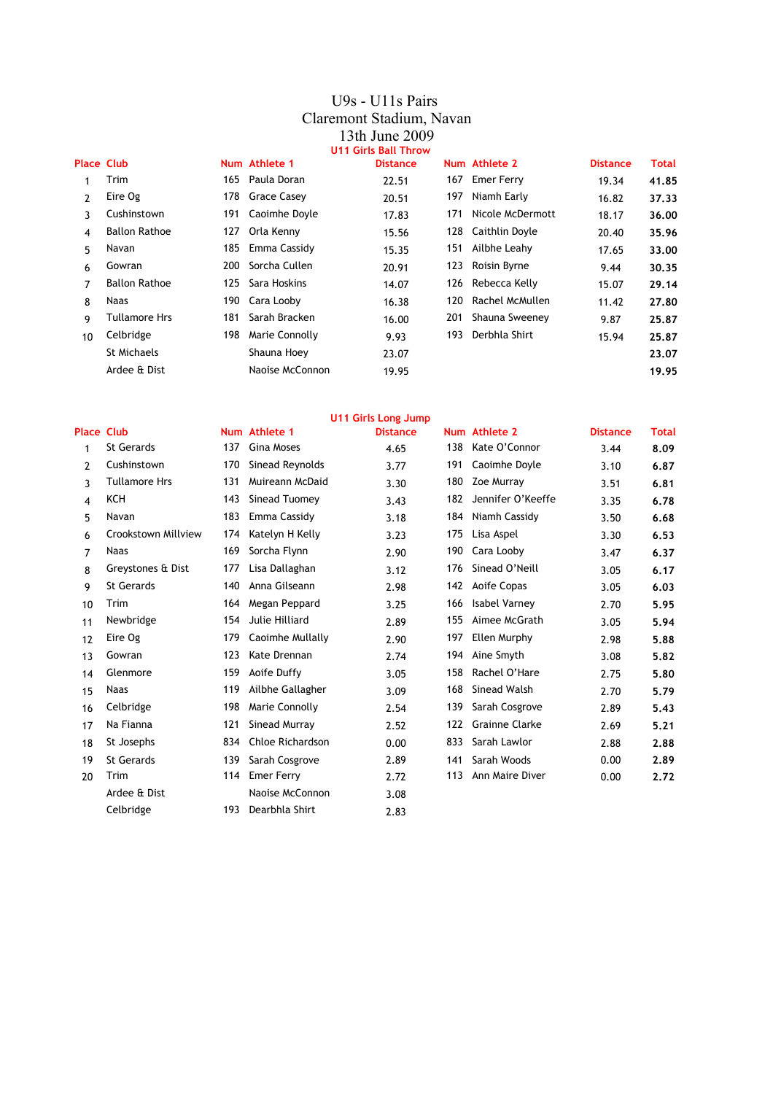#### U9s - U11s Pairs Claremont Stadium, Navan 13th June 2009 **U11 Girls Ball Throw**

| <b>Place Club</b> |                      |      | Num Athlete 1    | <b>Distance</b> |     | Num Athlete 2      | <b>Distance</b> | Total |
|-------------------|----------------------|------|------------------|-----------------|-----|--------------------|-----------------|-------|
|                   | Trim                 | 165  | Paula Doran      | 22.51           |     | 167 Emer Ferry     | 19.34           | 41.85 |
| $\mathcal{P}$     | Eire Og              |      | 178 Grace Casey  | 20.51           | 197 | Niamh Early        | 16.82           | 37.33 |
| 3                 | Cushinstown          | 191  | Caoimhe Doyle    | 17.83           | 171 | Nicole McDermott   | 18.17           | 36.00 |
| 4                 | <b>Ballon Rathoe</b> | 127  | Orla Kenny       | 15.56           |     | 128 Caithlin Doyle | 20.40           | 35.96 |
| 5                 | Navan                |      | 185 Emma Cassidy | 15.35           | 151 | Ailbhe Leahy       | 17.65           | 33.00 |
| 6                 | Gowran               | 200  | Sorcha Cullen    | 20.91           | 123 | Roisin Byrne       | 9.44            | 30.35 |
| 7                 | <b>Ballon Rathoe</b> | 125  | Sara Hoskins     | 14.07           |     | 126 Rebecca Kelly  | 15.07           | 29.14 |
| 8                 | <b>Naas</b>          | 190. | Cara Looby       | 16.38           | 120 | Rachel McMullen    | 11.42           | 27.80 |
| 9                 | <b>Tullamore Hrs</b> | 181  | Sarah Bracken    | 16.00           | 201 | Shauna Sweeney     | 9.87            | 25.87 |
| 10                | Celbridge            | 198  | Marie Connolly   | 9.93            | 193 | Derbhla Shirt      | 15.94           | 25.87 |
|                   | St Michaels          |      | Shauna Hoey      | 23.07           |     |                    |                 | 23.07 |
|                   | Ardee & Dist         |      | Naoise McConnon  | 19.95           |     |                    |                 | 19.95 |

|                   |                      |     |                   | <b>U11 Girls Long Jump</b> |     |                       |                 |              |
|-------------------|----------------------|-----|-------------------|----------------------------|-----|-----------------------|-----------------|--------------|
| <b>Place Club</b> |                      |     | Num Athlete 1     | <b>Distance</b>            |     | Num Athlete 2         | <b>Distance</b> | <b>Total</b> |
| 1                 | <b>St Gerards</b>    | 137 | Gina Moses        | 4.65                       | 138 | Kate O'Connor         | 3.44            | 8.09         |
| 2                 | Cushinstown          | 170 | Sinead Reynolds   | 3.77                       | 191 | Caoimhe Doyle         | 3.10            | 6.87         |
| 3                 | <b>Tullamore Hrs</b> | 131 | Muireann McDaid   | 3.30                       | 180 | Zoe Murray            | 3.51            | 6.81         |
| 4                 | <b>KCH</b>           | 143 | Sinead Tuomey     | 3.43                       | 182 | Jennifer O'Keeffe     | 3.35            | 6.78         |
| 5                 | Navan                | 183 | Emma Cassidy      | 3.18                       | 184 | Niamh Cassidy         | 3.50            | 6.68         |
| 6                 | Crookstown Millview  | 174 | Katelyn H Kelly   | 3.23                       | 175 | Lisa Aspel            | 3.30            | 6.53         |
| 7                 | Naas                 | 169 | Sorcha Flynn      | 2.90                       | 190 | Cara Looby            | 3.47            | 6.37         |
| 8                 | Greystones & Dist    | 177 | Lisa Dallaghan    | 3.12                       | 176 | Sinead O'Neill        | 3.05            | 6.17         |
| 9                 | <b>St Gerards</b>    | 140 | Anna Gilseann     | 2.98                       | 142 | Aoife Copas           | 3.05            | 6.03         |
| 10                | Trim                 | 164 | Megan Peppard     | 3.25                       | 166 | Isabel Varney         | 2.70            | 5.95         |
| 11                | Newbridge            | 154 | Julie Hilliard    | 2.89                       | 155 | Aimee McGrath         | 3.05            | 5.94         |
| 12                | Eire Og              | 179 | Caoimhe Mullally  | 2.90                       | 197 | Ellen Murphy          | 2.98            | 5.88         |
| 13                | Gowran               | 123 | Kate Drennan      | 2.74                       | 194 | Aine Smyth            | 3.08            | 5.82         |
| 14                | Glenmore             | 159 | Aoife Duffy       | 3.05                       | 158 | Rachel O'Hare         | 2.75            | 5.80         |
| 15                | <b>Naas</b>          | 119 | Ailbhe Gallagher  | 3.09                       | 168 | Sinead Walsh          | 2.70            | 5.79         |
| 16                | Celbridge            | 198 | Marie Connolly    | 2.54                       | 139 | Sarah Cosgrove        | 2.89            | 5.43         |
| 17                | Na Fianna            | 121 | Sinead Murray     | 2.52                       | 122 | <b>Grainne Clarke</b> | 2.69            | 5.21         |
| 18                | St Josephs           | 834 | Chloe Richardson  | 0.00                       | 833 | Sarah Lawlor          | 2.88            | 2.88         |
| 19                | <b>St Gerards</b>    | 139 | Sarah Cosgrove    | 2.89                       | 141 | Sarah Woods           | 0.00            | 2.89         |
| 20                | Trim                 | 114 | <b>Emer Ferry</b> | 2.72                       | 113 | Ann Maire Diver       | 0.00            | 2.72         |
|                   | Ardee & Dist         |     | Naoise McConnon   | 3.08                       |     |                       |                 |              |
|                   | Celbridge            | 193 | Dearbhla Shirt    | 2.83                       |     |                       |                 |              |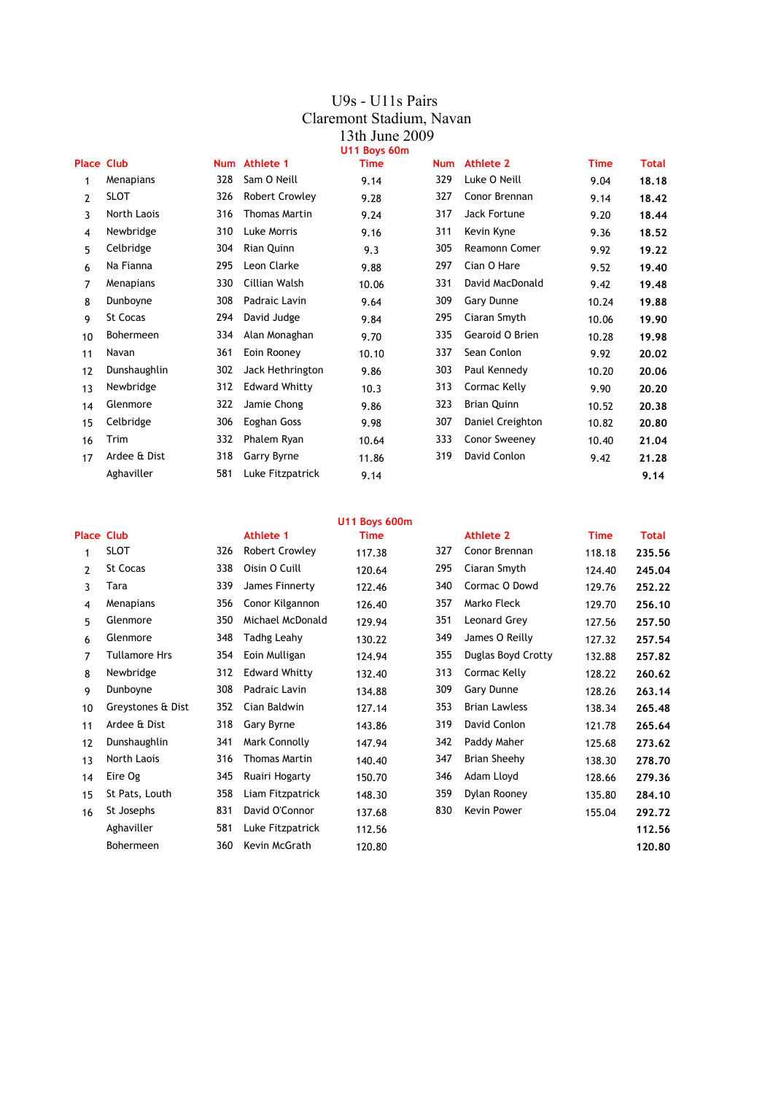#### U9s - U11s Pairs Claremont Stadium, Navan 13th June 2009 **U11 Boys 60m**

| <b>Place Club</b> |              |     | Num Athlete 1         | <b>Time</b> | <b>Num</b> | <b>Athlete 2</b>   | <b>Time</b> | <b>Total</b> |
|-------------------|--------------|-----|-----------------------|-------------|------------|--------------------|-------------|--------------|
| 1                 | Menapians    | 328 | Sam O Neill           | 9.14        | 329        | Luke O Neill       | 9.04        | 18.18        |
| 2                 | <b>SLOT</b>  | 326 | <b>Robert Crowley</b> | 9.28        | 327        | Conor Brennan      | 9.14        | 18,42        |
| 3                 | North Laois  | 316 | <b>Thomas Martin</b>  | 9.24        | 317        | Jack Fortune       | 9.20        | 18.44        |
| 4                 | Newbridge    | 310 | Luke Morris           | 9.16        | 311        | Kevin Kyne         | 9.36        | 18.52        |
| 5                 | Celbridge    | 304 | Rian Quinn            | 9.3         | 305        | Reamonn Comer      | 9.92        | 19.22        |
| 6                 | Na Fianna    | 295 | Leon Clarke           | 9.88        | 297        | Cian O Hare        | 9.52        | 19,40        |
| 7                 | Menapians    | 330 | Cillian Walsh         | 10.06       | 331        | David MacDonald    | 9.42        | 19,48        |
| 8                 | Dunboyne     | 308 | Padraic Lavin         | 9.64        | 309        | Gary Dunne         | 10.24       | 19.88        |
| 9                 | St Cocas     | 294 | David Judge           | 9.84        | 295        | Ciaran Smyth       | 10.06       | 19.90        |
| 10                | Bohermeen    | 334 | Alan Monaghan         | 9.70        | 335        | Gearoid O Brien    | 10.28       | 19.98        |
| 11                | Navan        | 361 | Eoin Rooney           | 10.10       | 337        | Sean Conlon        | 9.92        | 20,02        |
| 12                | Dunshaughlin | 302 | Jack Hethrington      | 9.86        | 303        | Paul Kennedy       | 10.20       | 20,06        |
| 13                | Newbridge    | 312 | <b>Edward Whitty</b>  | 10.3        | 313        | Cormac Kelly       | 9.90        | 20,20        |
| 14                | Glenmore     | 322 | Jamie Chong           | 9.86        | 323        | <b>Brian Quinn</b> | 10.52       | 20,38        |
| 15                | Celbridge    | 306 | Eoghan Goss           | 9.98        | 307        | Daniel Creighton   | 10.82       | 20,80        |
| 16                | Trim         | 332 | Phalem Ryan           | 10.64       | 333        | Conor Sweeney      | 10.40       | 21.04        |
| 17                | Ardee & Dist | 318 | Garry Byrne           | 11.86       | 319        | David Conlon       | 9.42        | 21.28        |
|                   | Aghaviller   | 581 | Luke Fitzpatrick      | 9.14        |            |                    |             | 9.14         |

|                   |                      |     |                       | <b>U11 Boys 600m</b> |     |                      |             |              |
|-------------------|----------------------|-----|-----------------------|----------------------|-----|----------------------|-------------|--------------|
| <b>Place Club</b> |                      |     | Athlete 1             | <b>Time</b>          |     | <b>Athlete 2</b>     | <b>Time</b> | <b>Total</b> |
| 1                 | SLOT                 | 326 | <b>Robert Crowley</b> | 117.38               | 327 | Conor Brennan        | 118.18      | 235.56       |
| 2                 | <b>St Cocas</b>      | 338 | Oisin O Cuill         | 120.64               | 295 | Ciaran Smyth         | 124.40      | 245.04       |
| 3                 | Tara                 | 339 | James Finnerty        | 122.46               | 340 | Cormac O Dowd        | 129.76      | 252.22       |
| 4                 | Menapians            | 356 | Conor Kilgannon       | 126.40               | 357 | Marko Fleck          | 129.70      | 256.10       |
| 5                 | Glenmore             | 350 | Michael McDonald      | 129.94               | 351 | Leonard Grey         | 127.56      | 257.50       |
| 6                 | Glenmore             | 348 | <b>Tadhg Leahy</b>    | 130.22               | 349 | James O Reilly       | 127.32      | 257.54       |
| 7                 | <b>Tullamore Hrs</b> | 354 | Eoin Mulligan         | 124.94               | 355 | Duglas Boyd Crotty   | 132.88      | 257.82       |
| 8                 | Newbridge            | 312 | <b>Edward Whitty</b>  | 132.40               | 313 | Cormac Kelly         | 128.22      | 260.62       |
| 9                 | Dunboyne             | 308 | Padraic Lavin         | 134.88               | 309 | Gary Dunne           | 128.26      | 263.14       |
| 10                | Greystones & Dist    | 352 | Cian Baldwin          | 127.14               | 353 | <b>Brian Lawless</b> | 138.34      | 265,48       |
| 11                | Ardee & Dist         | 318 | Gary Byrne            | 143.86               | 319 | David Conlon         | 121.78      | 265.64       |
| 12                | Dunshaughlin         | 341 | Mark Connolly         | 147.94               | 342 | Paddy Maher          | 125.68      | 273.62       |
| 13                | North Laois          | 316 | <b>Thomas Martin</b>  | 140.40               | 347 | <b>Brian Sheehy</b>  | 138.30      | 278.70       |
| 14                | Eire Og              | 345 | Ruairi Hogarty        | 150.70               | 346 | Adam Lloyd           | 128.66      | 279.36       |
| 15                | St Pats, Louth       | 358 | Liam Fitzpatrick      | 148.30               | 359 | Dylan Rooney         | 135.80      | 284.10       |
| 16                | St Josephs           | 831 | David O'Connor        | 137.68               | 830 | Kevin Power          | 155.04      | 292.72       |
|                   | Aghaviller           | 581 | Luke Fitzpatrick      | 112.56               |     |                      |             | 112.56       |
|                   | Bohermeen            | 360 | Kevin McGrath         | 120.80               |     |                      |             | 120,80       |